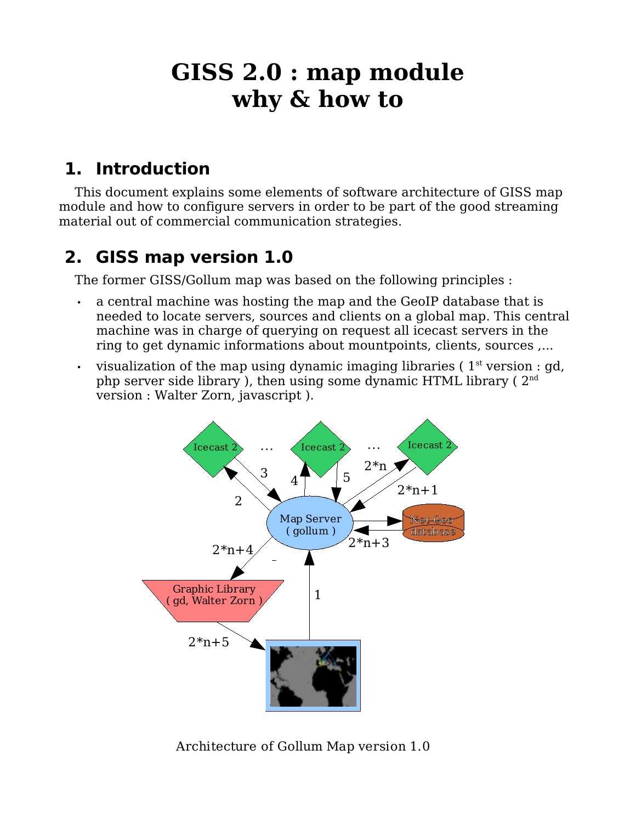# **GISS 2.0 : map module why & how to**

## **1. Introduction**

This document explains some elements of software architecture of GISS map module and how to configure servers in order to be part of the good streaming material out of commercial communication strategies.

### **2. GISS map version 1.0**

The former GISS/Gollum map was based on the following principles :

- a central machine was hosting the map and the GeoIP database that is needed to locate servers, sources and clients on a global map. This central machine was in charge of querying on request all icecast servers in the ring to get dynamic informations about mountpoints, clients, sources ,...
- visualization of the map using dynamic imaging libraries ( $1<sup>st</sup>$  version : gd, php server side library ), then using some dynamic HTML library (  $2^{\mathrm{nd}}$ version : Walter Zorn, javascript ).



Architecture of Gollum Map version 1.0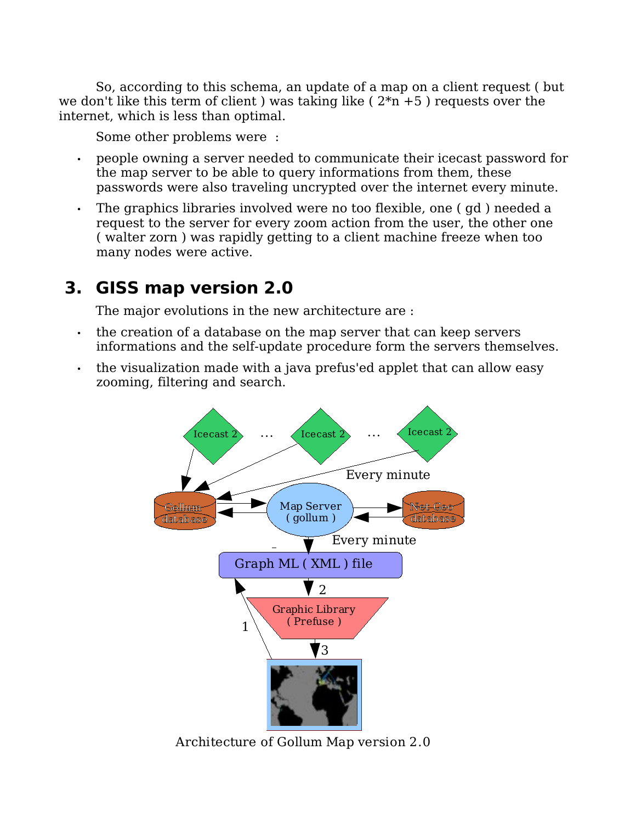So, according to this schema, an update of a map on a client request ( but we don't like this term of client ) was taking like  $(2<sup>*</sup>n + 5)$  requests over the internet, which is less than optimal.

Some other problems were :

- people owning a server needed to communicate their icecast password for the map server to be able to query informations from them, these passwords were also traveling uncrypted over the internet every minute.
- The graphics libraries involved were no too flexible, one ( gd ) needed a request to the server for every zoom action from the user, the other one ( walter zorn ) was rapidly getting to a client machine freeze when too many nodes were active.

### **3. GISS map version 2.0**

The major evolutions in the new architecture are :

- the creation of a database on the map server that can keep servers informations and the self-update procedure form the servers themselves.
- the visualization made with a java prefus'ed applet that can allow easy zooming, filtering and search.



Architecture of Gollum Map version 2.0